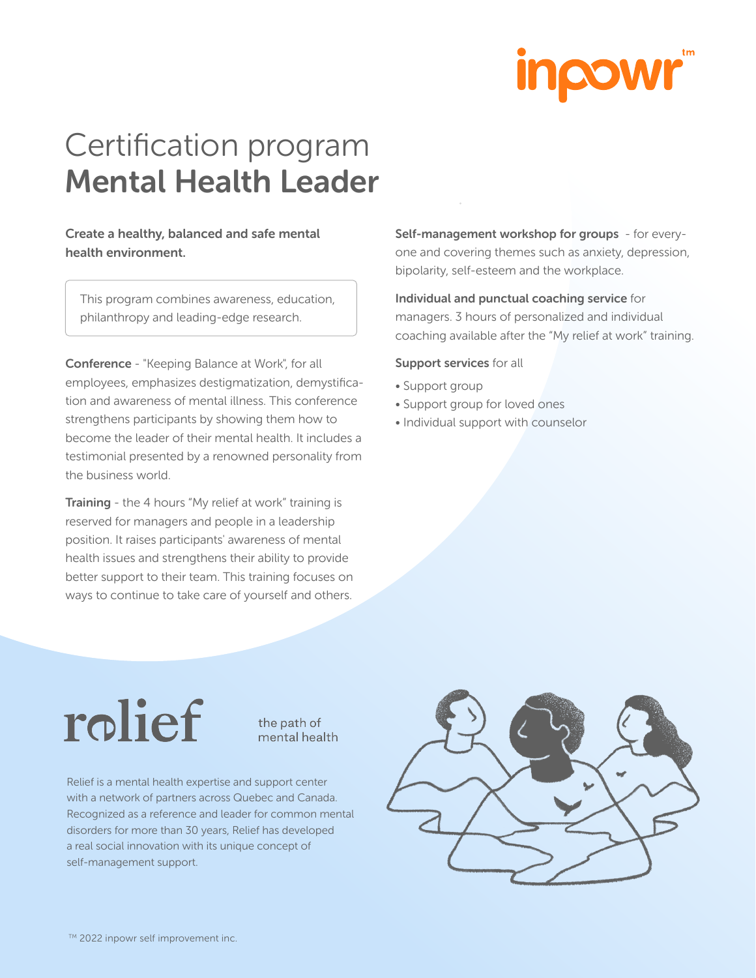

## Certification program Mental Health Leader

### Create a healthy, balanced and safe mental health environment.

This program combines awareness, education, philanthropy and leading-edge research.

Conference - "Keeping Balance at Work", for all employees, emphasizes destigmatization, demystification and awareness of mental illness. This conference strengthens participants by showing them how to become the leader of their mental health. It includes a testimonial presented by a renowned personality from the business world.

Training - the 4 hours "My relief at work" training is reserved for managers and people in a leadership position. It raises participants' awareness of mental health issues and strengthens their ability to provide better support to their team. This training focuses on ways to continue to take care of yourself and others.

Self-management workshop for groups - for everyone and covering themes such as anxiety, depression, bipolarity, self-esteem and the workplace.

Individual and punctual coaching service for managers. 3 hours of personalized and individual coaching available after the "My relief at work" training.

#### Support services for all

- Support group
- Support group for loved ones
- Individual support with counselor

# rolief

the path of mental health

Relief is a mental health expertise and support center with a network of partners across Quebec and Canada. Recognized as a reference and leader for common mental disorders for more than 30 years, Relief has developed a real social innovation with its unique concept of self-management support.